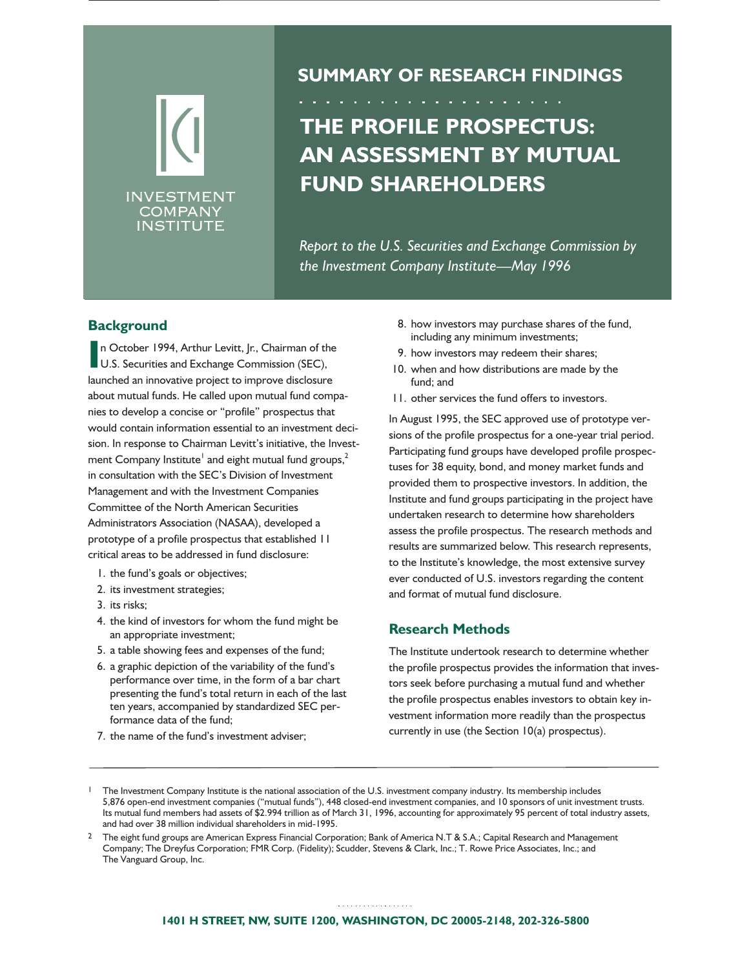# INVESTMENT **COMPANY** INSTITUTE

# **SUMMARY OF RESEARCH FINDINGS**

# **THE PROFILE PROSPECTUS: AN ASSESSMENT BY MUTUAL FUND SHAREHOLDERS**

*Report to the U.S. Securities and Exchange Commission by the Investment Company Institute—May 1996*

# **Background**

**I**n October 1994, Arthur Levitt, Jr., Chairman of the U.S. Securities and Exchange Commission (SEC), n October 1994, Arthur Levitt, Jr., Chairman of the launched an innovative project to improve disclosure about mutual funds. He called upon mutual fund companies to develop a concise or "profile" prospectus that would contain information essential to an investment decision. In response to Chairman Levitt's initiative, the Investment Company Institute<sup>1</sup> and eight mutual fund groups, $^2$ in consultation with the SEC's Division of Investment Management and with the Investment Companies Committee of the North American Securities Administrators Association (NASAA), developed a prototype of a profile prospectus that established 11 critical areas to be addressed in fund disclosure:

- 1. the fund's goals or objectives;
- 2. its investment strategies;
- 3. its risks;
- 4. the kind of investors for whom the fund might be an appropriate investment;
- 5. a table showing fees and expenses of the fund;
- 6. a graphic depiction of the variability of the fund's performance over time, in the form of a bar chart presenting the fund's total return in each of the last ten years, accompanied by standardized SEC performance data of the fund;
- 7. the name of the fund's investment adviser;
- 8. how investors may purchase shares of the fund, including any minimum investments;
- 9. how investors may redeem their shares;
- 10. when and how distributions are made by the fund; and
- 11. other services the fund offers to investors.

In August 1995, the SEC approved use of prototype versions of the profile prospectus for a one-year trial period. Participating fund groups have developed profile prospectuses for 38 equity, bond, and money market funds and provided them to prospective investors. In addition, the Institute and fund groups participating in the project have undertaken research to determine how shareholders assess the profile prospectus. The research methods and results are summarized below. This research represents, to the Institute's knowledge, the most extensive survey ever conducted of U.S. investors regarding the content and format of mutual fund disclosure.

# **Research Methods**

The Institute undertook research to determine whether the profile prospectus provides the information that investors seek before purchasing a mutual fund and whether the profile prospectus enables investors to obtain key investment information more readily than the prospectus currently in use (the Section 10(a) prospectus).

<sup>1</sup> The Investment Company Institute is the national association of the U.S. investment company industry. Its membership includes 5,876 open-end investment companies ("mutual funds"), 448 closed-end investment companies, and 10 sponsors of unit investment trusts. Its mutual fund members had assets of \$2.994 trillion as of March 31, 1996, accounting for approximately 95 percent of total industry assets, and had over 38 million individual shareholders in mid-1995.

<sup>&</sup>lt;sup>2</sup> The eight fund groups are American Express Financial Corporation; Bank of America N.T & S.A.; Capital Research and Management Company; The Dreyfus Corporation; FMR Corp. (Fidelity); Scudder, Stevens & Clark, Inc.; T. Rowe Price Associates, Inc.; and The Vanguard Group, Inc.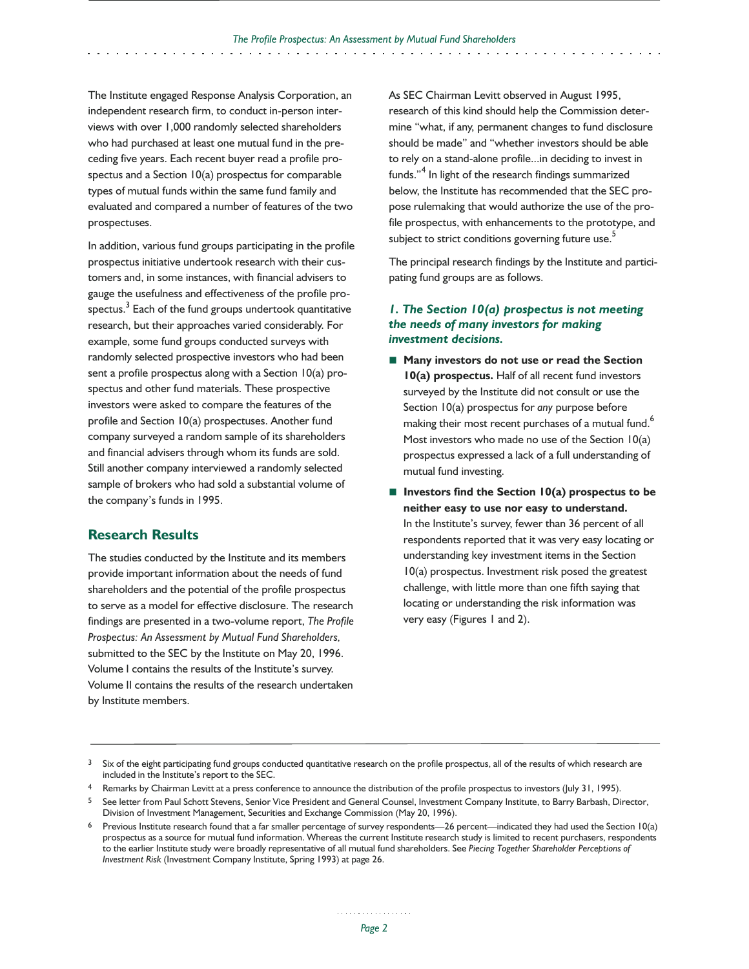The Institute engaged Response Analysis Corporation, an independent research firm, to conduct in-person interviews with over 1,000 randomly selected shareholders who had purchased at least one mutual fund in the preceding five years. Each recent buyer read a profile prospectus and a Section 10(a) prospectus for comparable types of mutual funds within the same fund family and evaluated and compared a number of features of the two prospectuses.

In addition, various fund groups participating in the profile prospectus initiative undertook research with their customers and, in some instances, with financial advisers to gauge the usefulness and effectiveness of the profile prospectus.<sup>3</sup> Each of the fund groups undertook quantitative research, but their approaches varied considerably. For example, some fund groups conducted surveys with randomly selected prospective investors who had been sent a profile prospectus along with a Section 10(a) prospectus and other fund materials. These prospective investors were asked to compare the features of the profile and Section 10(a) prospectuses. Another fund company surveyed a random sample of its shareholders and financial advisers through whom its funds are sold. Still another company interviewed a randomly selected sample of brokers who had sold a substantial volume of the company's funds in 1995.

# **Research Results**

The studies conducted by the Institute and its members provide important information about the needs of fund shareholders and the potential of the profile prospectus to serve as a model for effective disclosure. The research findings are presented in a two-volume report, *The Profile Prospectus: An Assessment by Mutual Fund Shareholders,* submitted to the SEC by the Institute on May 20, 1996. Volume I contains the results of the Institute's survey. Volume II contains the results of the research undertaken by Institute members.

As SEC Chairman Levitt observed in August 1995, research of this kind should help the Commission determine "what, if any, permanent changes to fund disclosure should be made" and "whether investors should be able to rely on a stand-alone profile...in deciding to invest in funds."<sup>4</sup> In light of the research findings summarized below, the Institute has recommended that the SEC propose rulemaking that would authorize the use of the profile prospectus, with enhancements to the prototype, and subject to strict conditions governing future use.<sup>5</sup>

The principal research findings by the Institute and participating fund groups are as follows.

### *1. The Section 10(a) prospectus is not meeting the needs of many investors for making investment decisions.*

- Many investors do not use or read the Section **10(a) prospectus.** Half of all recent fund investors surveyed by the Institute did not consult or use the Section 10(a) prospectus for *any* purpose before making their most recent purchases of a mutual fund.<sup>6</sup> Most investors who made no use of the Section 10(a) prospectus expressed a lack of a full understanding of mutual fund investing.
- Investors find the Section 10(a) prospectus to be **neither easy to use nor easy to understand.** In the Institute's survey, fewer than 36 percent of all respondents reported that it was very easy locating or understanding key investment items in the Section 10(a) prospectus. Investment risk posed the greatest challenge, with little more than one fifth saying that locating or understanding the risk information was very easy (Figures 1 and 2).

<sup>3</sup> Six of the eight participating fund groups conducted quantitative research on the profile prospectus, all of the results of which research are included in the Institute's report to the SEC.

<sup>4</sup> Remarks by Chairman Levitt at a press conference to announce the distribution of the profile prospectus to investors (July 31, 1995).

<sup>5</sup> See letter from Paul Schott Stevens, Senior Vice President and General Counsel, Investment Company Institute, to Barry Barbash, Director, Division of Investment Management, Securities and Exchange Commission (May 20, 1996).

<sup>6</sup> Previous Institute research found that a far smaller percentage of survey respondents—26 percent—indicated they had used the Section 10(a) prospectus as a source for mutual fund information. Whereas the current Institute research study is limited to recent purchasers, respondents to the earlier Institute study were broadly representative of all mutual fund shareholders. See *Piecing Together Shareholder Perceptions of Investment Risk* (Investment Company Institute, Spring 1993) at page 26.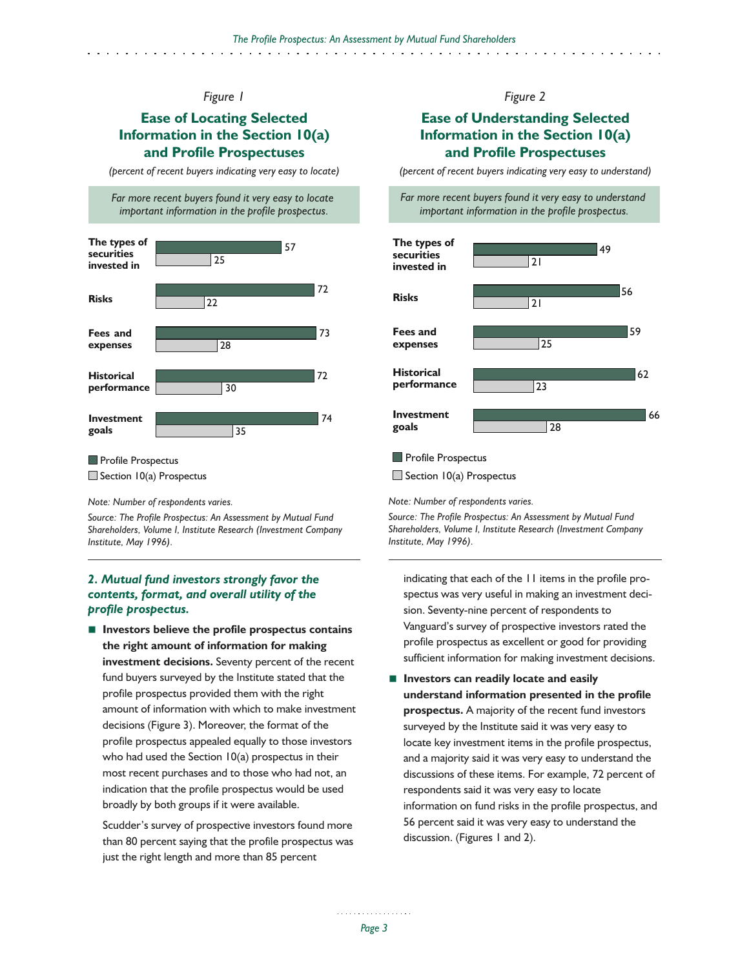# **Ease of Locating Selected Information in the Section 10(a) and Profile Prospectuses**

*(percent of recent buyers indicating very easy to locate)*

*Far more recent buyers found it very easy to locate important information in the profile prospectus.*



#### **Profile Prospectus**

 $\Box$  Section 10(a) Prospectus

#### *Note: Number of respondents varies.*

*Source: The Profile Prospectus: An Assessment by Mutual Fund Shareholders, Volume I, Institute Research (Investment Company Institute, May 1996).*

# *2. Mutual fund investors strongly favor the contents, format, and overall utility of the profile prospectus.*

■ **Investors believe the profile prospectus contains the right amount of information for making investment decisions.** Seventy percent of the recent fund buyers surveyed by the Institute stated that the profile prospectus provided them with the right amount of information with which to make investment decisions (Figure 3). Moreover, the format of the profile prospectus appealed equally to those investors who had used the Section 10(a) prospectus in their most recent purchases and to those who had not, an indication that the profile prospectus would be used broadly by both groups if it were available.

Scudder's survey of prospective investors found more than 80 percent saying that the profile prospectus was just the right length and more than 85 percent

# *Figure 2*

# **Ease of Understanding Selected Information in the Section 10(a) and Profile Prospectuses**

*(percent of recent buyers indicating very easy to understand)*





#### **Profile Prospectus**

 $\Box$  Section 10(a) Prospectus

*Note: Number of respondents varies.*

*Source: The Profile Prospectus: An Assessment by Mutual Fund Shareholders, Volume I, Institute Research (Investment Company Institute, May 1996).*

indicating that each of the 11 items in the profile prospectus was very useful in making an investment decision. Seventy-nine percent of respondents to Vanguard's survey of prospective investors rated the profile prospectus as excellent or good for providing sufficient information for making investment decisions.

■ **Investors can readily locate and easily understand information presented in the profile prospectus.** A majority of the recent fund investors surveyed by the Institute said it was very easy to locate key investment items in the profile prospectus, and a majority said it was very easy to understand the discussions of these items. For example, 72 percent of respondents said it was very easy to locate information on fund risks in the profile prospectus, and 56 percent said it was very easy to understand the discussion. (Figures 1 and 2).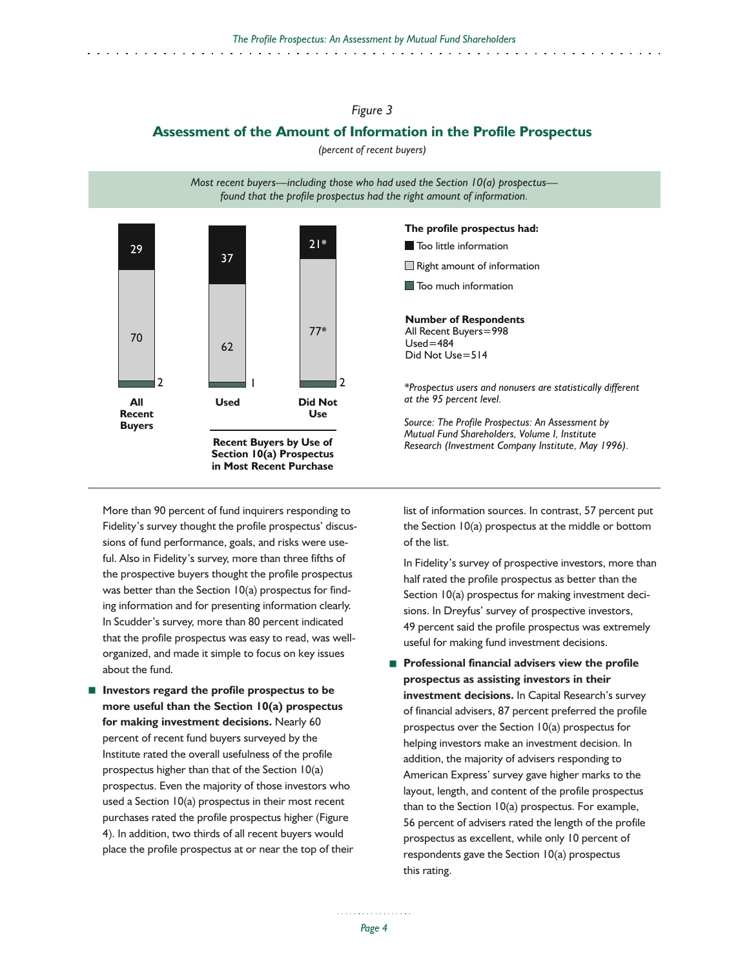# **Assessment of the Amount of Information in the Profile Prospectus**

*(percent of recent buyers)*

*Most recent buyers—including those who had used the Section 10(a) prospectus found that the profile prospectus had the right amount of information.*



More than 90 percent of fund inquirers responding to Fidelity's survey thought the profile prospectus' discussions of fund performance, goals, and risks were useful. Also in Fidelity's survey, more than three fifths of the prospective buyers thought the profile prospectus was better than the Section 10(a) prospectus for finding information and for presenting information clearly. In Scudder's survey, more than 80 percent indicated that the profile prospectus was easy to read, was wellorganized, and made it simple to focus on key issues about the fund.

■ **Investors regard the profile prospectus to be more useful than the Section 10(a) prospectus for making investment decisions.** Nearly 60 percent of recent fund buyers surveyed by the Institute rated the overall usefulness of the profile prospectus higher than that of the Section 10(a) prospectus. Even the majority of those investors who used a Section 10(a) prospectus in their most recent purchases rated the profile prospectus higher (Figure 4). In addition, two thirds of all recent buyers would place the profile prospectus at or near the top of their



list of information sources. In contrast, 57 percent put the Section 10(a) prospectus at the middle or bottom of the list.

In Fidelity's survey of prospective investors, more than half rated the profile prospectus as better than the Section 10(a) prospectus for making investment decisions. In Dreyfus' survey of prospective investors, 49 percent said the profile prospectus was extremely useful for making fund investment decisions.

■ **Professional financial advisers view the profile prospectus as assisting investors in their investment decisions.** In Capital Research's survey of financial advisers, 87 percent preferred the profile prospectus over the Section 10(a) prospectus for helping investors make an investment decision. In addition, the majority of advisers responding to American Express' survey gave higher marks to the layout, length, and content of the profile prospectus than to the Section 10(a) prospectus. For example, 56 percent of advisers rated the length of the profile prospectus as excellent, while only 10 percent of respondents gave the Section 10(a) prospectus this rating.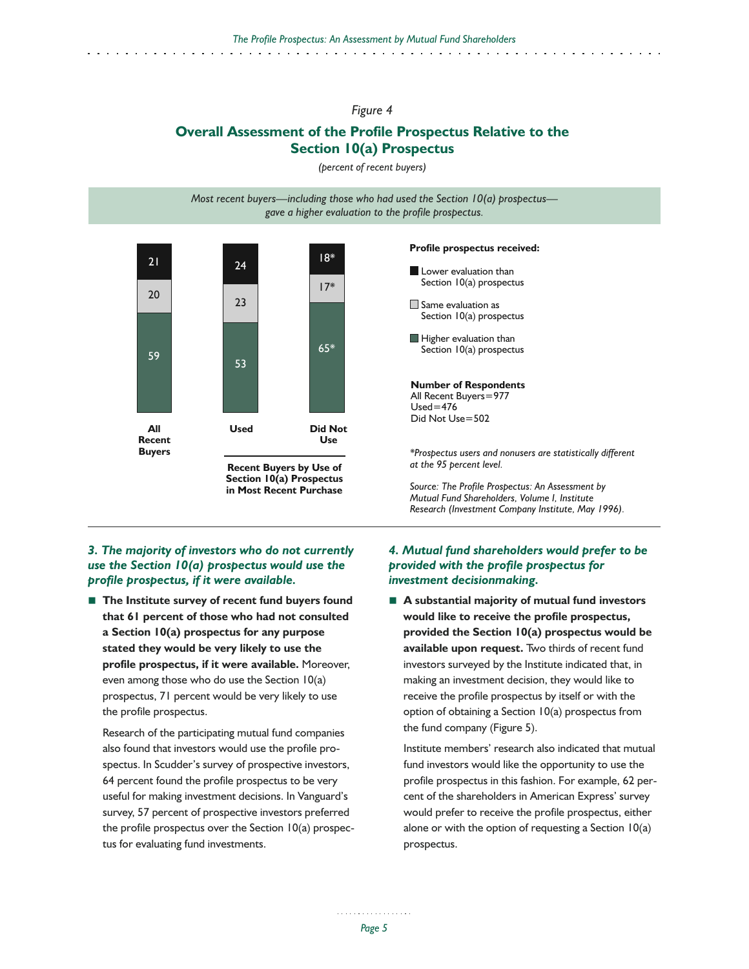# **Overall Assessment of the Profile Prospectus Relative to the Section 10(a) Prospectus**

*(percent of recent buyers)*

*Most recent buyers—including those who had used the Section 10(a) prospectus gave a higher evaluation to the profile prospectus.*



**Section 10(a) Prospectus in Most Recent Purchase**

# *3. The majority of investors who do not currently use the Section 10(a) prospectus would use the profile prospectus, if it were available.*

■ The Institute survey of recent fund buyers found **that 61 percent of those who had not consulted a Section 10(a) prospectus for any purpose stated they would be very likely to use the profile prospectus, if it were available.** Moreover, even among those who do use the Section 10(a) prospectus, 71 percent would be very likely to use the profile prospectus.

Research of the participating mutual fund companies also found that investors would use the profile prospectus. In Scudder's survey of prospective investors, 64 percent found the profile prospectus to be very useful for making investment decisions. In Vanguard's survey, 57 percent of prospective investors preferred the profile prospectus over the Section 10(a) prospectus for evaluating fund investments.

#### **Profile prospectus received:**

**Lower evaluation than** Section 10(a) prospectus Same evaluation as Section 10(a) prospectus Higher evaluation than Section 10(a) prospectus **Number of Respondents** All Recent Buyers=977  $Used = 476$ Did Not Use=502 *\*Prospectus users and nonusers are statistically different at the 95 percent level.*

*Source: The Profile Prospectus: An Assessment by Mutual Fund Shareholders, Volume I, Institute Research (Investment Company Institute, May 1996).*

# *4. Mutual fund shareholders would prefer to be provided with the profile prospectus for investment decisionmaking.*

■ **A** substantial majority of mutual fund investors **would like to receive the profile prospectus, provided the Section 10(a) prospectus would be available upon request.** Two thirds of recent fund investors surveyed by the Institute indicated that, in making an investment decision, they would like to receive the profile prospectus by itself or with the option of obtaining a Section 10(a) prospectus from the fund company (Figure 5).

Institute members' research also indicated that mutual fund investors would like the opportunity to use the profile prospectus in this fashion. For example, 62 percent of the shareholders in American Express' survey would prefer to receive the profile prospectus, either alone or with the option of requesting a Section  $10(a)$ prospectus.

. . . . . . . . . . . . . . . . . . *Page 5*